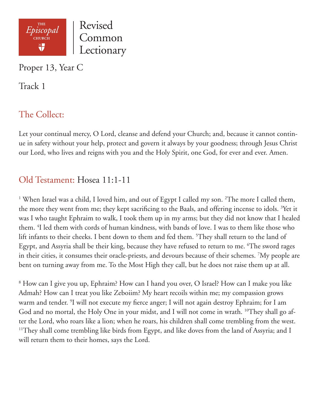

Proper 13, Year C

Track 1

# The Collect:

Let your continual mercy, O Lord, cleanse and defend your Church; and, because it cannot continue in safety without your help, protect and govern it always by your goodness; through Jesus Christ our Lord, who lives and reigns with you and the Holy Spirit, one God, for ever and ever. Amen.

## Old Testament: Hosea 11:1-11

<sup>1</sup> When Israel was a child, I loved him, and out of Egypt I called my son. <sup>2</sup>The more I called them, the more they went from me; they kept sacrificing to the Baals, and offering incense to idols. <sup>3</sup>Yet it was I who taught Ephraim to walk, I took them up in my arms; but they did not know that I healed them. 4 I led them with cords of human kindness, with bands of love. I was to them like those who lift infants to their cheeks. I bent down to them and fed them. 5 They shall return to the land of Egypt, and Assyria shall be their king, because they have refused to return to me. 6 The sword rages in their cities, it consumes their oracle-priests, and devours because of their schemes. 7 My people are bent on turning away from me. To the Most High they call, but he does not raise them up at all.

8 How can I give you up, Ephraim? How can I hand you over, O Israel? How can I make you like Admah? How can I treat you like Zeboiim? My heart recoils within me; my compassion grows warm and tender. 9 I will not execute my fierce anger; I will not again destroy Ephraim; for I am God and no mortal, the Holy One in your midst, and I will not come in wrath. <sup>10</sup>They shall go after the Lord, who roars like a lion; when he roars, his children shall come trembling from the west. <sup>11</sup>They shall come trembling like birds from Egypt, and like doves from the land of Assyria; and I will return them to their homes, says the Lord.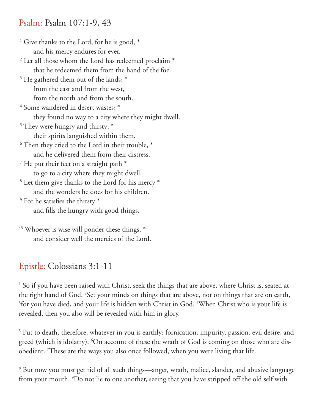#### Psalm: Psalm 107:1-9, 43

<sup>1</sup> Give thanks to the Lord, for he is good, \* and his mercy endures for ever. <sup>2</sup> Let all those whom the Lord has redeemed proclaim \* that he redeemed them from the hand of the foe. <sup>3</sup> He gathered them out of the lands; \* from the east and from the west, from the north and from the south. <sup>4</sup> Some wandered in desert wastes; \* they found no way to a city where they might dwell. <sup>5</sup> They were hungry and thirsty;  $*$  their spirits languished within them.  $6$  Then they cried to the Lord in their trouble,  $*$  and he delivered them from their distress.  $7$  He put their feet on a straight path  $*$  to go to a city where they might dwell. <sup>8</sup> Let them give thanks to the Lord for his mercy \* and the wonders he does for his children. <sup>9</sup> For he satisfies the thirsty  $*$  and fills the hungry with good things.  $43$  Whoever is wise will ponder these things,  $*$ 

and consider well the mercies of the Lord.

## Epistle: Colossians 3:1-11

<sup>1</sup> So if you have been raised with Christ, seek the things that are above, where Christ is, seated at the right hand of God. 2 Set your minds on things that are above, not on things that are on earth, <sup>3</sup>for you have died, and your life is hidden with Christ in God. <sup>4</sup>When Christ who is your life is revealed, then you also will be revealed with him in glory.

<sup>5</sup> Put to death, therefore, whatever in you is earthly: fornication, impurity, passion, evil desire, and greed (which is idolatry). <sup>6</sup>On account of these the wrath of God is coming on those who are disobedient. 7 These are the ways you also once followed, when you were living that life.

<sup>8</sup> But now you must get rid of all such things—anger, wrath, malice, slander, and abusive language from your mouth. 9 Do not lie to one another, seeing that you have stripped off the old self with